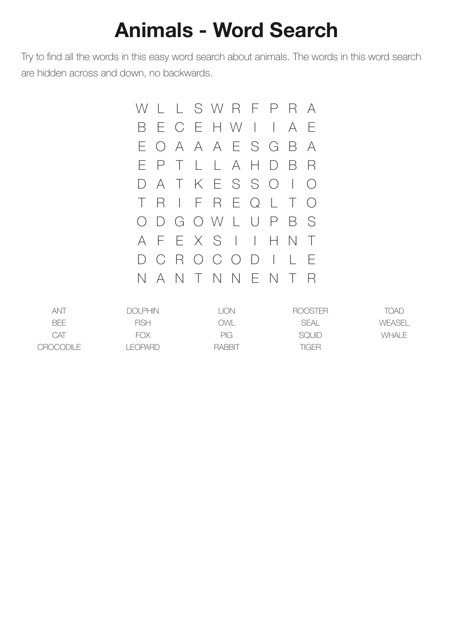## **Animals - Word Search**

Try to find all the words in this easy word search about animals. The words in this word search are hidden across and down, no backwards.